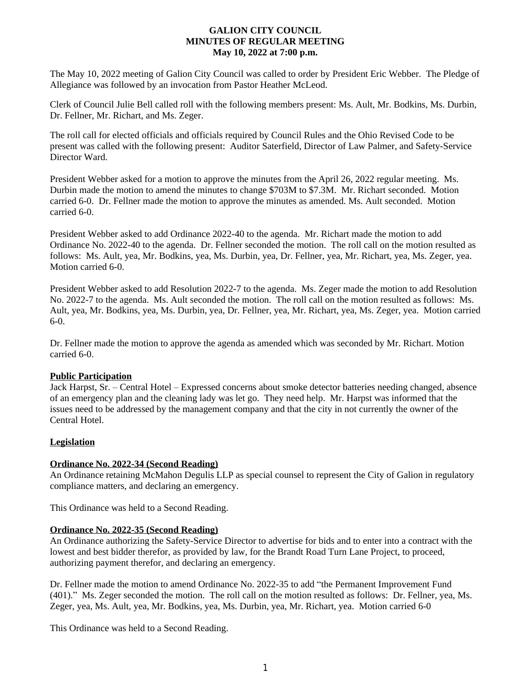## **GALION CITY COUNCIL MINUTES OF REGULAR MEETING May 10, 2022 at 7:00 p.m.**

The May 10, 2022 meeting of Galion City Council was called to order by President Eric Webber. The Pledge of Allegiance was followed by an invocation from Pastor Heather McLeod.

Clerk of Council Julie Bell called roll with the following members present: Ms. Ault, Mr. Bodkins, Ms. Durbin, Dr. Fellner, Mr. Richart, and Ms. Zeger.

The roll call for elected officials and officials required by Council Rules and the Ohio Revised Code to be present was called with the following present: Auditor Saterfield, Director of Law Palmer, and Safety-Service Director Ward.

President Webber asked for a motion to approve the minutes from the April 26, 2022 regular meeting. Ms. Durbin made the motion to amend the minutes to change \$703M to \$7.3M. Mr. Richart seconded. Motion carried 6-0. Dr. Fellner made the motion to approve the minutes as amended. Ms. Ault seconded. Motion carried 6-0.

President Webber asked to add Ordinance 2022-40 to the agenda. Mr. Richart made the motion to add Ordinance No. 2022-40 to the agenda. Dr. Fellner seconded the motion. The roll call on the motion resulted as follows: Ms. Ault, yea, Mr. Bodkins, yea, Ms. Durbin, yea, Dr. Fellner, yea, Mr. Richart, yea, Ms. Zeger, yea. Motion carried 6-0.

President Webber asked to add Resolution 2022-7 to the agenda. Ms. Zeger made the motion to add Resolution No. 2022-7 to the agenda. Ms. Ault seconded the motion. The roll call on the motion resulted as follows: Ms. Ault, yea, Mr. Bodkins, yea, Ms. Durbin, yea, Dr. Fellner, yea, Mr. Richart, yea, Ms. Zeger, yea. Motion carried 6-0.

Dr. Fellner made the motion to approve the agenda as amended which was seconded by Mr. Richart. Motion carried 6-0.

### **Public Participation**

Jack Harpst, Sr. – Central Hotel – Expressed concerns about smoke detector batteries needing changed, absence of an emergency plan and the cleaning lady was let go. They need help. Mr. Harpst was informed that the issues need to be addressed by the management company and that the city in not currently the owner of the Central Hotel.

# **Legislation**

### **Ordinance No. 2022-34 (Second Reading)**

An Ordinance retaining McMahon Degulis LLP as special counsel to represent the City of Galion in regulatory compliance matters, and declaring an emergency.

This Ordinance was held to a Second Reading.

### **Ordinance No. 2022-35 (Second Reading)**

An Ordinance authorizing the Safety-Service Director to advertise for bids and to enter into a contract with the lowest and best bidder therefor, as provided by law, for the Brandt Road Turn Lane Project, to proceed, authorizing payment therefor, and declaring an emergency.

Dr. Fellner made the motion to amend Ordinance No. 2022-35 to add "the Permanent Improvement Fund (401)." Ms. Zeger seconded the motion. The roll call on the motion resulted as follows: Dr. Fellner, yea, Ms. Zeger, yea, Ms. Ault, yea, Mr. Bodkins, yea, Ms. Durbin, yea, Mr. Richart, yea. Motion carried 6-0

This Ordinance was held to a Second Reading.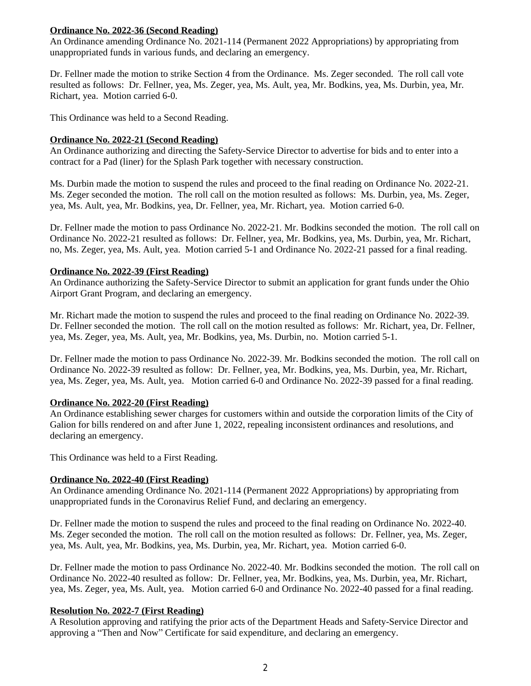### **Ordinance No. 2022-36 (Second Reading)**

An Ordinance amending Ordinance No. 2021-114 (Permanent 2022 Appropriations) by appropriating from unappropriated funds in various funds, and declaring an emergency.

Dr. Fellner made the motion to strike Section 4 from the Ordinance. Ms. Zeger seconded. The roll call vote resulted as follows: Dr. Fellner, yea, Ms. Zeger, yea, Ms. Ault, yea, Mr. Bodkins, yea, Ms. Durbin, yea, Mr. Richart, yea. Motion carried 6-0.

This Ordinance was held to a Second Reading.

#### **Ordinance No. 2022-21 (Second Reading)**

An Ordinance authorizing and directing the Safety-Service Director to advertise for bids and to enter into a contract for a Pad (liner) for the Splash Park together with necessary construction.

Ms. Durbin made the motion to suspend the rules and proceed to the final reading on Ordinance No. 2022-21. Ms. Zeger seconded the motion. The roll call on the motion resulted as follows: Ms. Durbin, yea, Ms. Zeger, yea, Ms. Ault, yea, Mr. Bodkins, yea, Dr. Fellner, yea, Mr. Richart, yea. Motion carried 6-0.

Dr. Fellner made the motion to pass Ordinance No. 2022-21. Mr. Bodkins seconded the motion. The roll call on Ordinance No. 2022-21 resulted as follows: Dr. Fellner, yea, Mr. Bodkins, yea, Ms. Durbin, yea, Mr. Richart, no, Ms. Zeger, yea, Ms. Ault, yea. Motion carried 5-1 and Ordinance No. 2022-21 passed for a final reading.

#### **Ordinance No. 2022-39 (First Reading)**

An Ordinance authorizing the Safety-Service Director to submit an application for grant funds under the Ohio Airport Grant Program, and declaring an emergency.

Mr. Richart made the motion to suspend the rules and proceed to the final reading on Ordinance No. 2022-39. Dr. Fellner seconded the motion. The roll call on the motion resulted as follows: Mr. Richart, yea, Dr. Fellner, yea, Ms. Zeger, yea, Ms. Ault, yea, Mr. Bodkins, yea, Ms. Durbin, no. Motion carried 5-1.

Dr. Fellner made the motion to pass Ordinance No. 2022-39. Mr. Bodkins seconded the motion. The roll call on Ordinance No. 2022-39 resulted as follow: Dr. Fellner, yea, Mr. Bodkins, yea, Ms. Durbin, yea, Mr. Richart, yea, Ms. Zeger, yea, Ms. Ault, yea. Motion carried 6-0 and Ordinance No. 2022-39 passed for a final reading.

### **Ordinance No. 2022-20 (First Reading)**

An Ordinance establishing sewer charges for customers within and outside the corporation limits of the City of Galion for bills rendered on and after June 1, 2022, repealing inconsistent ordinances and resolutions, and declaring an emergency.

This Ordinance was held to a First Reading.

### **Ordinance No. 2022-40 (First Reading)**

An Ordinance amending Ordinance No. 2021-114 (Permanent 2022 Appropriations) by appropriating from unappropriated funds in the Coronavirus Relief Fund, and declaring an emergency.

Dr. Fellner made the motion to suspend the rules and proceed to the final reading on Ordinance No. 2022-40. Ms. Zeger seconded the motion. The roll call on the motion resulted as follows: Dr. Fellner, yea, Ms. Zeger, yea, Ms. Ault, yea, Mr. Bodkins, yea, Ms. Durbin, yea, Mr. Richart, yea. Motion carried 6-0.

Dr. Fellner made the motion to pass Ordinance No. 2022-40. Mr. Bodkins seconded the motion. The roll call on Ordinance No. 2022-40 resulted as follow: Dr. Fellner, yea, Mr. Bodkins, yea, Ms. Durbin, yea, Mr. Richart, yea, Ms. Zeger, yea, Ms. Ault, yea. Motion carried 6-0 and Ordinance No. 2022-40 passed for a final reading.

### **Resolution No. 2022-7 (First Reading)**

A Resolution approving and ratifying the prior acts of the Department Heads and Safety-Service Director and approving a "Then and Now" Certificate for said expenditure, and declaring an emergency.